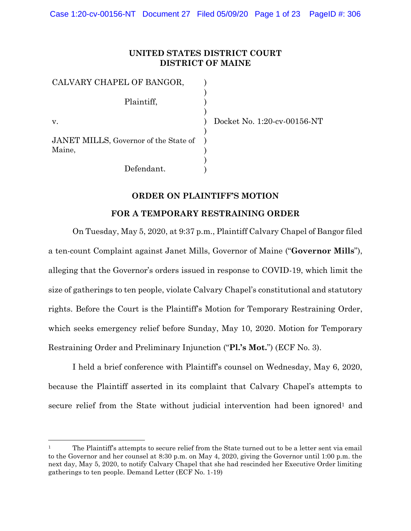# **UNITED STATES DISTRICT COURT DISTRICT OF MAINE**

| CALVARY CHAPEL OF BANGOR,                       |  |
|-------------------------------------------------|--|
| Plaintiff,                                      |  |
| V.                                              |  |
| JANET MILLS, Governor of the State of<br>Maine, |  |
| Defendant.                                      |  |

l

Docket No. 1:20-cv-00156-NT

### **ORDER ON PLAINTIFF'S MOTION**

#### **FOR A TEMPORARY RESTRAINING ORDER**

On Tuesday, May 5, 2020, at 9:37 p.m., Plaintiff Calvary Chapel of Bangor filed a ten-count Complaint against Janet Mills, Governor of Maine ("**Governor Mills**"), alleging that the Governor's orders issued in response to COVID-19, which limit the size of gatherings to ten people, violate Calvary Chapel's constitutional and statutory rights. Before the Court is the Plaintiff's Motion for Temporary Restraining Order, which seeks emergency relief before Sunday, May 10, 2020. Motion for Temporary Restraining Order and Preliminary Injunction ("**Pl.'s Mot.**") (ECF No. 3).

I held a brief conference with Plaintiff's counsel on Wednesday, May 6, 2020, because the Plaintiff asserted in its complaint that Calvary Chapel's attempts to secure relief from the State without judicial intervention had been ignored<sup>1</sup> and

<sup>&</sup>lt;sup>1</sup> The Plaintiff's attempts to secure relief from the State turned out to be a letter sent via email to the Governor and her counsel at 8:30 p.m. on May 4, 2020, giving the Governor until 1:00 p.m. the next day, May 5, 2020, to notify Calvary Chapel that she had rescinded her Executive Order limiting gatherings to ten people. Demand Letter (ECF No. 1-19)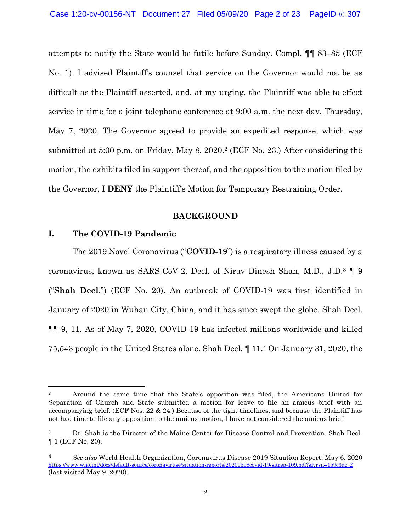attempts to notify the State would be futile before Sunday. Compl. ¶¶ 83–85 (ECF No. 1). I advised Plaintiff's counsel that service on the Governor would not be as difficult as the Plaintiff asserted, and, at my urging, the Plaintiff was able to effect service in time for a joint telephone conference at 9:00 a.m. the next day, Thursday, May 7, 2020. The Governor agreed to provide an expedited response, which was submitted at 5:00 p.m. on Friday, May 8, 2020.<sup>2</sup> (ECF No. 23.) After considering the motion, the exhibits filed in support thereof, and the opposition to the motion filed by the Governor, I **DENY** the Plaintiff's Motion for Temporary Restraining Order.

#### **BACKGROUND**

# **I. The COVID-19 Pandemic**

 $\overline{a}$ 

The 2019 Novel Coronavirus ("**COVID-19**") is a respiratory illness caused by a coronavirus, known as SARS-CoV-2. Decl. of Nirav Dinesh Shah, M.D., J.D.<sup>3</sup> ¶ 9 ("**Shah Decl.**") (ECF No. 20). An outbreak of COVID-19 was first identified in January of 2020 in Wuhan City, China, and it has since swept the globe. Shah Decl. ¶¶ 9, 11. As of May 7, 2020, COVID-19 has infected millions worldwide and killed 75,543 people in the United States alone. Shah Decl. ¶ 11.<sup>4</sup> On January 31, 2020, the

<sup>2</sup> Around the same time that the State's opposition was filed, the Americans United for Separation of Church and State submitted a motion for leave to file an amicus brief with an accompanying brief. (ECF Nos. 22 & 24.) Because of the tight timelines, and because the Plaintiff has not had time to file any opposition to the amicus motion, I have not considered the amicus brief.

<sup>&</sup>lt;sup>3</sup> Dr. Shah is the Director of the Maine Center for Disease Control and Prevention. Shah Decl. ¶ 1 (ECF No. 20).

<sup>4</sup> *See also* World Health Organization, Coronavirus Disease 2019 Situation Report, May 6, 2020 https://www.who.int/docs/default-source/coronaviruse/situation-reports/20200508covid-19-sitrep-109.pdf?sfvrsn=159c3dc\_2 (last visited May 9, 2020).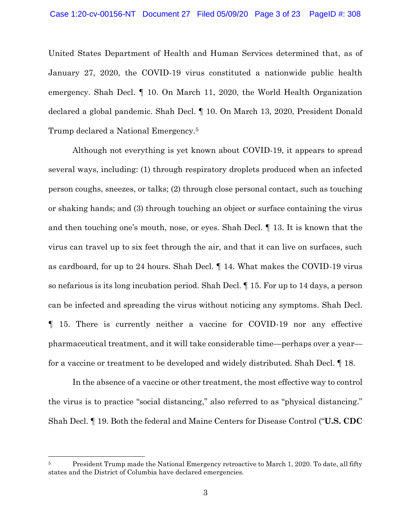United States Department of Health and Human Services determined that, as of January 27, 2020, the COVID-19 virus constituted a nationwide public health emergency. Shah Decl. ¶ 10. On March 11, 2020, the World Health Organization declared a global pandemic. Shah Decl. ¶ 10. On March 13, 2020, President Donald Trump declared a National Emergency.<sup>5</sup>

Although not everything is yet known about COVID-19, it appears to spread several ways, including: (1) through respiratory droplets produced when an infected person coughs, sneezes, or talks; (2) through close personal contact, such as touching or shaking hands; and (3) through touching an object or surface containing the virus and then touching one's mouth, nose, or eyes. Shah Decl. ¶ 13. It is known that the virus can travel up to six feet through the air, and that it can live on surfaces, such as cardboard, for up to 24 hours. Shah Decl. ¶ 14. What makes the COVID-19 virus so nefarious is its long incubation period. Shah Decl. ¶ 15. For up to 14 days, a person can be infected and spreading the virus without noticing any symptoms. Shah Decl. ¶ 15. There is currently neither a vaccine for COVID-19 nor any effective pharmaceutical treatment, and it will take considerable time—perhaps over a year for a vaccine or treatment to be developed and widely distributed. Shah Decl. ¶ 18.

In the absence of a vaccine or other treatment, the most effective way to control the virus is to practice "social distancing," also referred to as "physical distancing." Shah Decl. ¶ 19. Both the federal and Maine Centers for Disease Control ("**U.S. CDC** 

<sup>&</sup>lt;sup>5</sup> President Trump made the National Emergency retroactive to March 1, 2020. To date, all fifty states and the District of Columbia have declared emergencies.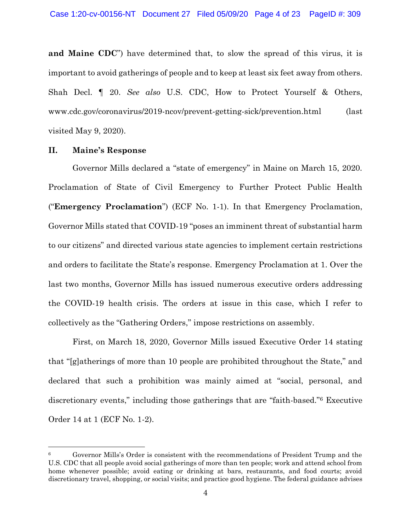**and Maine CDC**") have determined that, to slow the spread of this virus, it is important to avoid gatherings of people and to keep at least six feet away from others. Shah Decl. ¶ 20. *See also* U.S. CDC, How to Protect Yourself & Others, www.cdc.gov/coronavirus/2019-ncov/prevent-getting-sick/prevention.html (last visited May 9, 2020).

#### **II. Maine's Response**

l

Governor Mills declared a "state of emergency" in Maine on March 15, 2020. Proclamation of State of Civil Emergency to Further Protect Public Health ("**Emergency Proclamation**") (ECF No. 1-1). In that Emergency Proclamation, Governor Mills stated that COVID-19 "poses an imminent threat of substantial harm to our citizens" and directed various state agencies to implement certain restrictions and orders to facilitate the State's response. Emergency Proclamation at 1. Over the last two months, Governor Mills has issued numerous executive orders addressing the COVID-19 health crisis. The orders at issue in this case, which I refer to collectively as the "Gathering Orders," impose restrictions on assembly.

First, on March 18, 2020, Governor Mills issued Executive Order 14 stating that "[g]atherings of more than 10 people are prohibited throughout the State," and declared that such a prohibition was mainly aimed at "social, personal, and discretionary events," including those gatherings that are "faith-based."<sup>6</sup> Executive Order 14 at 1 (ECF No. 1-2).

<sup>6</sup> Governor Mills's Order is consistent with the recommendations of President Trump and the U.S. CDC that all people avoid social gatherings of more than ten people; work and attend school from home whenever possible; avoid eating or drinking at bars, restaurants, and food courts; avoid discretionary travel, shopping, or social visits; and practice good hygiene. The federal guidance advises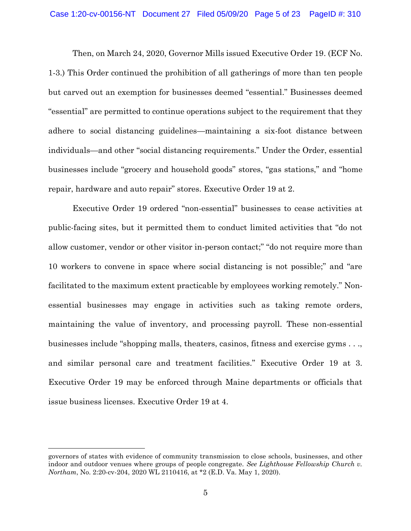Then, on March 24, 2020, Governor Mills issued Executive Order 19. (ECF No. 1-3.) This Order continued the prohibition of all gatherings of more than ten people but carved out an exemption for businesses deemed "essential." Businesses deemed "essential" are permitted to continue operations subject to the requirement that they adhere to social distancing guidelines—maintaining a six-foot distance between individuals—and other "social distancing requirements." Under the Order, essential businesses include "grocery and household goods" stores, "gas stations," and "home repair, hardware and auto repair" stores. Executive Order 19 at 2.

Executive Order 19 ordered "non-essential" businesses to cease activities at public-facing sites, but it permitted them to conduct limited activities that "do not allow customer, vendor or other visitor in-person contact;" "do not require more than 10 workers to convene in space where social distancing is not possible;" and "are facilitated to the maximum extent practicable by employees working remotely." Nonessential businesses may engage in activities such as taking remote orders, maintaining the value of inventory, and processing payroll. These non-essential businesses include "shopping malls, theaters, casinos, fitness and exercise gyms . . ., and similar personal care and treatment facilities." Executive Order 19 at 3. Executive Order 19 may be enforced through Maine departments or officials that issue business licenses. Executive Order 19 at 4.

governors of states with evidence of community transmission to close schools, businesses, and other indoor and outdoor venues where groups of people congregate. *See Lighthouse Fellowship Church v. Northam*, No. 2:20-cv-204, 2020 WL 2110416, at \*2 (E.D. Va. May 1, 2020).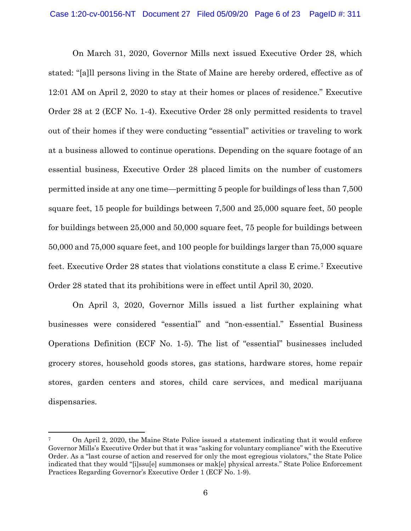On March 31, 2020, Governor Mills next issued Executive Order 28, which stated: "[a]ll persons living in the State of Maine are hereby ordered, effective as of 12:01 AM on April 2, 2020 to stay at their homes or places of residence." Executive Order 28 at 2 (ECF No. 1-4). Executive Order 28 only permitted residents to travel out of their homes if they were conducting "essential" activities or traveling to work at a business allowed to continue operations. Depending on the square footage of an essential business, Executive Order 28 placed limits on the number of customers permitted inside at any one time—permitting 5 people for buildings of less than 7,500 square feet, 15 people for buildings between 7,500 and 25,000 square feet, 50 people for buildings between 25,000 and 50,000 square feet, 75 people for buildings between 50,000 and 75,000 square feet, and 100 people for buildings larger than 75,000 square feet. Executive Order 28 states that violations constitute a class E crime.<sup>7</sup> Executive Order 28 stated that its prohibitions were in effect until April 30, 2020.

On April 3, 2020, Governor Mills issued a list further explaining what businesses were considered "essential" and "non-essential." Essential Business Operations Definition (ECF No. 1-5). The list of "essential" businesses included grocery stores, household goods stores, gas stations, hardware stores, home repair stores, garden centers and stores, child care services, and medical marijuana dispensaries.

<sup>7</sup> On April 2, 2020, the Maine State Police issued a statement indicating that it would enforce Governor Mills's Executive Order but that it was "asking for voluntary compliance" with the Executive Order. As a "last course of action and reserved for only the most egregious violators," the State Police indicated that they would "[i]ssu[e] summonses or mak[e] physical arrests." State Police Enforcement Practices Regarding Governor's Executive Order 1 (ECF No. 1-9).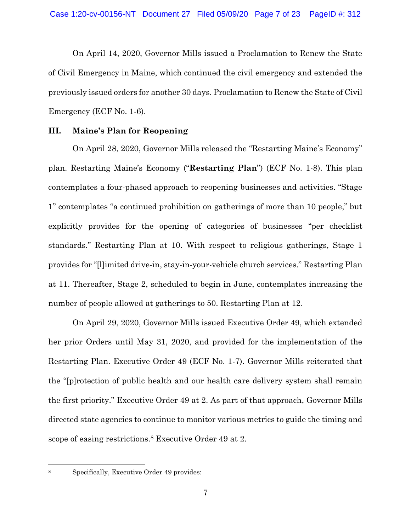On April 14, 2020, Governor Mills issued a Proclamation to Renew the State of Civil Emergency in Maine, which continued the civil emergency and extended the previously issued orders for another 30 days. Proclamation to Renew the State of Civil Emergency (ECF No. 1-6).

# **III. Maine's Plan for Reopening**

On April 28, 2020, Governor Mills released the "Restarting Maine's Economy" plan. Restarting Maine's Economy ("**Restarting Plan**") (ECF No. 1-8). This plan contemplates a four-phased approach to reopening businesses and activities. "Stage 1" contemplates "a continued prohibition on gatherings of more than 10 people," but explicitly provides for the opening of categories of businesses "per checklist standards." Restarting Plan at 10. With respect to religious gatherings, Stage 1 provides for "[l]imited drive-in, stay-in-your-vehicle church services." Restarting Plan at 11. Thereafter, Stage 2, scheduled to begin in June, contemplates increasing the number of people allowed at gatherings to 50. Restarting Plan at 12.

On April 29, 2020, Governor Mills issued Executive Order 49, which extended her prior Orders until May 31, 2020, and provided for the implementation of the Restarting Plan. Executive Order 49 (ECF No. 1-7). Governor Mills reiterated that the "[p]rotection of public health and our health care delivery system shall remain the first priority." Executive Order 49 at 2. As part of that approach, Governor Mills directed state agencies to continue to monitor various metrics to guide the timing and scope of easing restrictions.<sup>8</sup> Executive Order 49 at 2.

<sup>8</sup> Specifically, Executive Order 49 provides: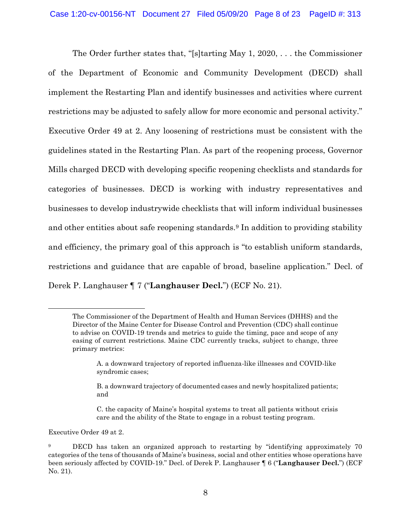The Order further states that, "[s]tarting May 1, 2020, . . . the Commissioner of the Department of Economic and Community Development (DECD) shall implement the Restarting Plan and identify businesses and activities where current restrictions may be adjusted to safely allow for more economic and personal activity." Executive Order 49 at 2. Any loosening of restrictions must be consistent with the guidelines stated in the Restarting Plan. As part of the reopening process, Governor Mills charged DECD with developing specific reopening checklists and standards for categories of businesses. DECD is working with industry representatives and businesses to develop industrywide checklists that will inform individual businesses and other entities about safe reopening standards.<sup>9</sup> In addition to providing stability and efficiency, the primary goal of this approach is "to establish uniform standards, restrictions and guidance that are capable of broad, baseline application." Decl. of Derek P. Langhauser ¶ 7 ("**Langhauser Decl.**") (ECF No. 21).

Executive Order 49 at 2.

The Commissioner of the Department of Health and Human Services (DHHS) and the Director of the Maine Center for Disease Control and Prevention (CDC) shall continue to advise on COVID-19 trends and metrics to guide the timing, pace and scope of any easing of current restrictions. Maine CDC currently tracks, subject to change, three primary metrics:

A. a downward trajectory of reported influenza-like illnesses and COVID-like syndromic cases;

B. a downward trajectory of documented cases and newly hospitalized patients; and

C. the capacity of Maine's hospital systems to treat all patients without crisis care and the ability of the State to engage in a robust testing program.

<sup>9</sup> DECD has taken an organized approach to restarting by "identifying approximately 70 categories of the tens of thousands of Maine's business, social and other entities whose operations have been seriously affected by COVID-19." Decl. of Derek P. Langhauser ¶ 6 ("**Langhauser Decl.**") (ECF No. 21).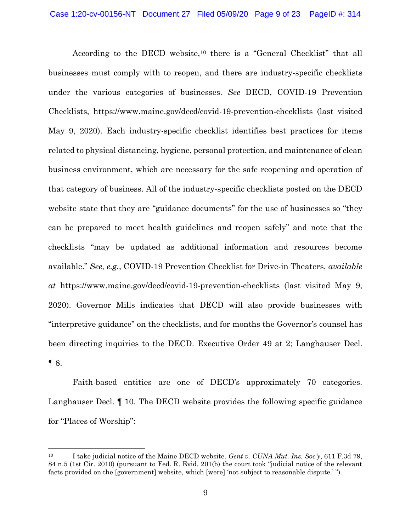According to the DECD website,<sup>10</sup> there is a "General Checklist" that all businesses must comply with to reopen, and there are industry-specific checklists under the various categories of businesses. *See* DECD, COVID-19 Prevention Checklists, https://www.maine.gov/decd/covid-19-prevention-checklists (last visited May 9, 2020). Each industry-specific checklist identifies best practices for items related to physical distancing, hygiene, personal protection, and maintenance of clean business environment, which are necessary for the safe reopening and operation of that category of business. All of the industry-specific checklists posted on the DECD website state that they are "guidance documents" for the use of businesses so "they can be prepared to meet health guidelines and reopen safely" and note that the checklists "may be updated as additional information and resources become available." *See, e.g.*, COVID-19 Prevention Checklist for Drive-in Theaters, *available at* https://www.maine.gov/decd/covid-19-prevention-checklists (last visited May 9, 2020). Governor Mills indicates that DECD will also provide businesses with "interpretive guidance" on the checklists, and for months the Governor's counsel has been directing inquiries to the DECD. Executive Order 49 at 2; Langhauser Decl.  $\P 8$ .

Faith-based entities are one of DECD's approximately 70 categories. Langhauser Decl. ¶ 10. The DECD website provides the following specific guidance for "Places of Worship":

<sup>10</sup> I take judicial notice of the Maine DECD website*. Gent v. CUNA Mut. Ins. Soc'y*, 611 F.3d 79, 84 n.5 (1st Cir. 2010) (pursuant to Fed. R. Evid. 201(b) the court took "judicial notice of the relevant facts provided on the [government] website, which [were] 'not subject to reasonable dispute.' ").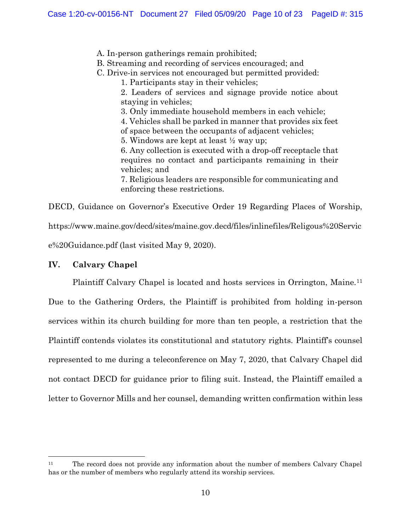A. In-person gatherings remain prohibited;

B. Streaming and recording of services encouraged; and

C. Drive-in services not encouraged but permitted provided:

1. Participants stay in their vehicles;

2. Leaders of services and signage provide notice about staying in vehicles;

3. Only immediate household members in each vehicle;

4. Vehicles shall be parked in manner that provides six feet

of space between the occupants of adjacent vehicles;

5. Windows are kept at least ½ way up;

6. Any collection is executed with a drop-off receptacle that requires no contact and participants remaining in their vehicles; and

7. Religious leaders are responsible for communicating and enforcing these restrictions.

DECD, Guidance on Governor's Executive Order 19 Regarding Places of Worship, https://www.maine.gov/decd/sites/maine.gov.decd/files/inlinefiles/Religous%20Servic e%20Guidance.pdf (last visited May 9, 2020).

# **IV. Calvary Chapel**

l

Plaintiff Calvary Chapel is located and hosts services in Orrington, Maine.<sup>11</sup>

Due to the Gathering Orders, the Plaintiff is prohibited from holding in-person services within its church building for more than ten people, a restriction that the Plaintiff contends violates its constitutional and statutory rights. Plaintiff's counsel represented to me during a teleconference on May 7, 2020, that Calvary Chapel did not contact DECD for guidance prior to filing suit. Instead, the Plaintiff emailed a letter to Governor Mills and her counsel, demanding written confirmation within less

<sup>&</sup>lt;sup>11</sup> The record does not provide any information about the number of members Calvary Chapel has or the number of members who regularly attend its worship services.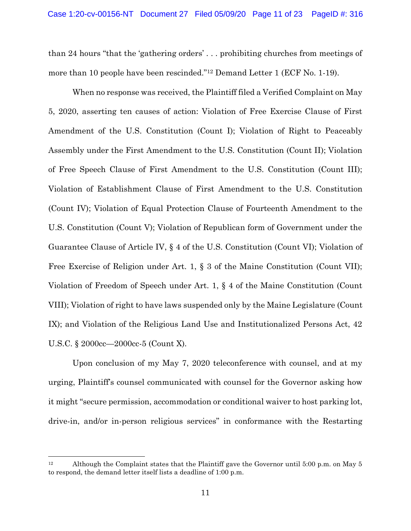than 24 hours "that the 'gathering orders' . . . prohibiting churches from meetings of more than 10 people have been rescinded."<sup>12</sup> Demand Letter 1 (ECF No. 1-19).

When no response was received, the Plaintiff filed a Verified Complaint on May 5, 2020, asserting ten causes of action: Violation of Free Exercise Clause of First Amendment of the U.S. Constitution (Count I); Violation of Right to Peaceably Assembly under the First Amendment to the U.S. Constitution (Count II); Violation of Free Speech Clause of First Amendment to the U.S. Constitution (Count III); Violation of Establishment Clause of First Amendment to the U.S. Constitution (Count IV); Violation of Equal Protection Clause of Fourteenth Amendment to the U.S. Constitution (Count V); Violation of Republican form of Government under the Guarantee Clause of Article IV, § 4 of the U.S. Constitution (Count VI); Violation of Free Exercise of Religion under Art. 1, § 3 of the Maine Constitution (Count VII); Violation of Freedom of Speech under Art. 1, § 4 of the Maine Constitution (Count VIII); Violation of right to have laws suspended only by the Maine Legislature (Count IX); and Violation of the Religious Land Use and Institutionalized Persons Act, 42 U.S.C. § 2000cc—2000cc-5 (Count X).

Upon conclusion of my May 7, 2020 teleconference with counsel, and at my urging, Plaintiff's counsel communicated with counsel for the Governor asking how it might "secure permission, accommodation or conditional waiver to host parking lot, drive-in, and/or in-person religious services" in conformance with the Restarting

<sup>&</sup>lt;sup>12</sup> Although the Complaint states that the Plaintiff gave the Governor until 5:00 p.m. on May 5 to respond, the demand letter itself lists a deadline of 1:00 p.m.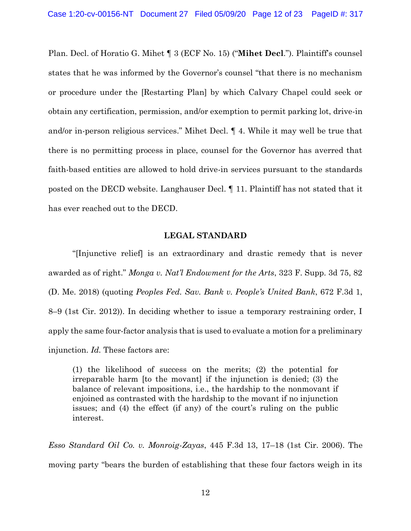Plan. Decl. of Horatio G. Mihet ¶ 3 (ECF No. 15) ("**Mihet Decl**."). Plaintiff's counsel states that he was informed by the Governor's counsel "that there is no mechanism or procedure under the [Restarting Plan] by which Calvary Chapel could seek or obtain any certification, permission, and/or exemption to permit parking lot, drive-in and/or in-person religious services." Mihet Decl. ¶ 4. While it may well be true that there is no permitting process in place, counsel for the Governor has averred that faith-based entities are allowed to hold drive-in services pursuant to the standards posted on the DECD website. Langhauser Decl. ¶ 11. Plaintiff has not stated that it has ever reached out to the DECD.

### **LEGAL STANDARD**

"[Injunctive relief] is an extraordinary and drastic remedy that is never awarded as of right." *Monga v. Nat'l Endowment for the Arts*, 323 F. Supp. 3d 75, 82 (D. Me. 2018) (quoting *Peoples Fed. Sav. Bank v. People's United Bank*, 672 F.3d 1, 8–9 (1st Cir. 2012)). In deciding whether to issue a temporary restraining order, I apply the same four-factor analysis that is used to evaluate a motion for a preliminary injunction. *Id.* These factors are:

(1) the likelihood of success on the merits; (2) the potential for irreparable harm [to the movant] if the injunction is denied; (3) the balance of relevant impositions, i.e., the hardship to the nonmovant if enjoined as contrasted with the hardship to the movant if no injunction issues; and (4) the effect (if any) of the court's ruling on the public interest.

*Esso Standard Oil Co. v. Monroig-Zayas*, 445 F.3d 13, 17–18 (1st Cir. 2006). The moving party "bears the burden of establishing that these four factors weigh in its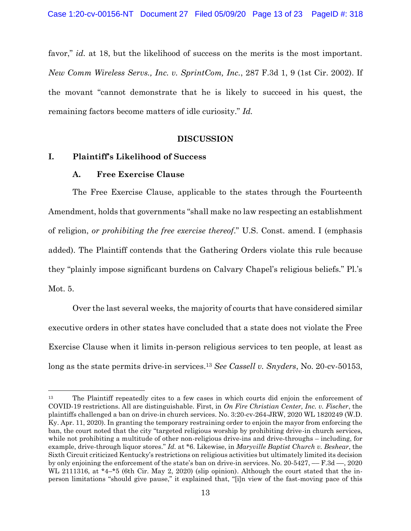favor," *id.* at 18, but the likelihood of success on the merits is the most important. *New Comm Wireless Servs., Inc. v. SprintCom, Inc.*, 287 F.3d 1, 9 (1st Cir. 2002). If the movant "cannot demonstrate that he is likely to succeed in his quest, the remaining factors become matters of idle curiosity." *Id.*

#### **DISCUSSION**

### **I. Plaintiff's Likelihood of Success**

### **A. Free Exercise Clause**

 $\overline{a}$ 

The Free Exercise Clause, applicable to the states through the Fourteenth Amendment, holds that governments "shall make no law respecting an establishment of religion, *or prohibiting the free exercise thereof*." U.S. Const. amend. I (emphasis added). The Plaintiff contends that the Gathering Orders violate this rule because they "plainly impose significant burdens on Calvary Chapel's religious beliefs." Pl.'s Mot. 5.

Over the last several weeks, the majority of courts that have considered similar executive orders in other states have concluded that a state does not violate the Free Exercise Clause when it limits in-person religious services to ten people, at least as long as the state permits drive-in services.<sup>13</sup> *See Cassell v. Snyders*, No. 20-cv-50153,

<sup>&</sup>lt;sup>13</sup> The Plaintiff repeatedly cites to a few cases in which courts did enjoin the enforcement of COVID-19 restrictions. All are distinguishable. First, in *On Fire Christian Center, Inc. v. Fischer*, the plaintiffs challenged a ban on drive-in church services. No. 3:20-cv-264-JRW, 2020 WL 1820249 (W.D. Ky. Apr. 11, 2020). In granting the temporary restraining order to enjoin the mayor from enforcing the ban, the court noted that the city "targeted religious worship by prohibiting drive-in church services, while not prohibiting a multitude of other non-religious drive-ins and drive-throughs – including, for example, drive-through liquor stores." *Id.* at \*6. Likewise, in *Maryville Baptist Church v. Beshear*, the Sixth Circuit criticized Kentucky's restrictions on religious activities but ultimately limited its decision by only enjoining the enforcement of the state's ban on drive-in services. No. 20-5427, –– F.3d ––, 2020 WL 2111316, at \*4–\*5 (6th Cir. May 2, 2020) (slip opinion). Although the court stated that the inperson limitations "should give pause," it explained that, "[i]n view of the fast-moving pace of this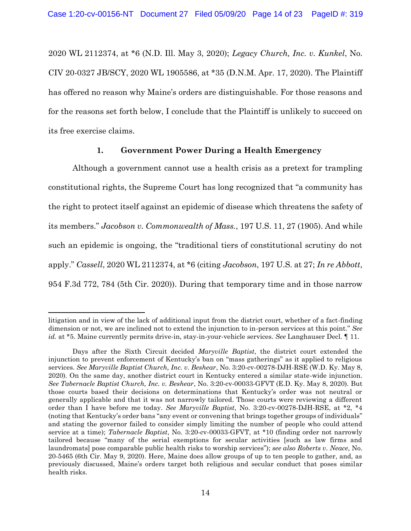2020 WL 2112374, at \*6 (N.D. Ill. May 3, 2020); *Legacy Church, Inc. v. Kunkel*, No. CIV 20-0327 JB/SCY, 2020 WL 1905586, at \*35 (D.N.M. Apr. 17, 2020). The Plaintiff has offered no reason why Maine's orders are distinguishable. For those reasons and for the reasons set forth below, I conclude that the Plaintiff is unlikely to succeed on its free exercise claims.

### **1. Government Power During a Health Emergency**

Although a government cannot use a health crisis as a pretext for trampling constitutional rights, the Supreme Court has long recognized that "a community has the right to protect itself against an epidemic of disease which threatens the safety of its members." *Jacobson v. Commonwealth of Mass.*, 197 U.S. 11, 27 (1905). And while such an epidemic is ongoing, the "traditional tiers of constitutional scrutiny do not apply." *Cassell*, 2020 WL 2112374, at \*6 (citing *Jacobson*, 197 U.S. at 27; *In re Abbott*, 954 F.3d 772, 784 (5th Cir. 2020)). During that temporary time and in those narrow

 $\overline{a}$ 

litigation and in view of the lack of additional input from the district court, whether of a fact-finding dimension or not, we are inclined not to extend the injunction to in-person services at this point." *See id.* at \*5. Maine currently permits drive-in, stay-in-your-vehicle services. *See* Langhauser Decl. ¶ 11.

Days after the Sixth Circuit decided *Maryville Baptist*, the district court extended the injunction to prevent enforcement of Kentucky's ban on "mass gatherings" as it applied to religious services. *See Maryville Baptist Church, Inc. v. Beshear*, No. 3:20-cv-00278-DJH-RSE (W.D. Ky. May 8, 2020)*.* On the same day, another district court in Kentucky entered a similar state-wide injunction. *See Tabernacle Baptist Church, Inc. v. Beshear*, No. 3:20-cv-00033-GFVT (E.D. Ky. May 8, 2020). But those courts based their decisions on determinations that Kentucky's order was not neutral or generally applicable and that it was not narrowly tailored. Those courts were reviewing a different order than I have before me today. *See Maryville Baptist*, No. 3:20-cv-00278-DJH-RSE, at \*2, \*4 (noting that Kentucky's order bans "any event or convening that brings together groups of individuals" and stating the governor failed to consider simply limiting the number of people who could attend service at a time); *Tabernacle Baptist*, No. 3:20-cv-00033-GFVT, at \*10 (finding order not narrowly tailored because "many of the serial exemptions for secular activities [such as law firms and laundromats] pose comparable public health risks to worship services"); *see also Roberts v. Neace*, No. 20-5465 (6th Cir. May 9, 2020). Here, Maine does allow groups of up to ten people to gather, and, as previously discussed, Maine's orders target both religious and secular conduct that poses similar health risks.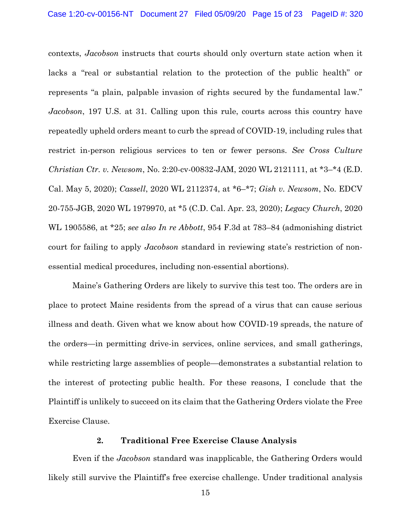contexts, *Jacobson* instructs that courts should only overturn state action when it lacks a "real or substantial relation to the protection of the public health" or represents "a plain, palpable invasion of rights secured by the fundamental law." *Jacobson*, 197 U.S. at 31. Calling upon this rule, courts across this country have repeatedly upheld orders meant to curb the spread of COVID-19, including rules that restrict in-person religious services to ten or fewer persons. *See Cross Culture Christian Ctr. v. Newsom*, No. 2:20-cv-00832-JAM, 2020 WL 2121111, at \*3–\*4 (E.D. Cal. May 5, 2020); *Cassell*, 2020 WL 2112374, at \*6–\*7; *Gish v. Newsom*, No. EDCV 20-755-JGB, 2020 WL 1979970, at \*5 (C.D. Cal. Apr. 23, 2020); *Legacy Church*, 2020 WL 1905586, at \*25; *see also In re Abbott*, 954 F.3d at 783–84 (admonishing district court for failing to apply *Jacobson* standard in reviewing state's restriction of nonessential medical procedures, including non-essential abortions).

Maine's Gathering Orders are likely to survive this test too. The orders are in place to protect Maine residents from the spread of a virus that can cause serious illness and death. Given what we know about how COVID-19 spreads, the nature of the orders—in permitting drive-in services, online services, and small gatherings, while restricting large assemblies of people—demonstrates a substantial relation to the interest of protecting public health. For these reasons, I conclude that the Plaintiff is unlikely to succeed on its claim that the Gathering Orders violate the Free Exercise Clause.

# **2. Traditional Free Exercise Clause Analysis**

Even if the *Jacobson* standard was inapplicable, the Gathering Orders would likely still survive the Plaintiff's free exercise challenge. Under traditional analysis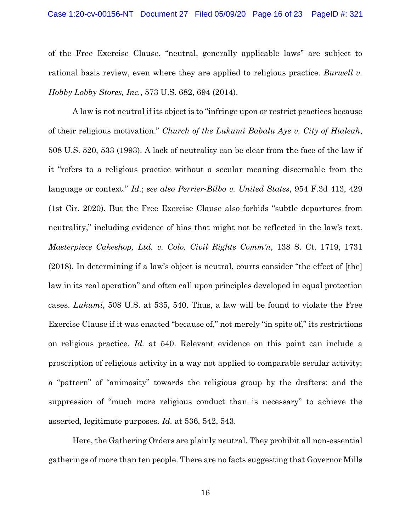of the Free Exercise Clause, "neutral, generally applicable laws" are subject to rational basis review, even where they are applied to religious practice. *Burwell v. Hobby Lobby Stores, Inc.*, 573 U.S. 682, 694 (2014).

A law is not neutral if its object is to "infringe upon or restrict practices because of their religious motivation." *Church of the Lukumi Babalu Aye v. City of Hialeah*, 508 U.S. 520, 533 (1993). A lack of neutrality can be clear from the face of the law if it "refers to a religious practice without a secular meaning discernable from the language or context." *Id.*; *see also Perrier-Bilbo v. United States*, 954 F.3d 413, 429 (1st Cir. 2020). But the Free Exercise Clause also forbids "subtle departures from neutrality," including evidence of bias that might not be reflected in the law's text. *Masterpiece Cakeshop, Ltd. v. Colo. Civil Rights Comm'n*, 138 S. Ct. 1719, 1731 (2018). In determining if a law's object is neutral, courts consider "the effect of [the] law in its real operation" and often call upon principles developed in equal protection cases. *Lukumi*, 508 U.S. at 535, 540. Thus, a law will be found to violate the Free Exercise Clause if it was enacted "because of," not merely "in spite of," its restrictions on religious practice. *Id.* at 540. Relevant evidence on this point can include a proscription of religious activity in a way not applied to comparable secular activity; a "pattern" of "animosity" towards the religious group by the drafters; and the suppression of "much more religious conduct than is necessary" to achieve the asserted, legitimate purposes. *Id.* at 536, 542, 543.

Here, the Gathering Orders are plainly neutral. They prohibit all non-essential gatherings of more than ten people. There are no facts suggesting that Governor Mills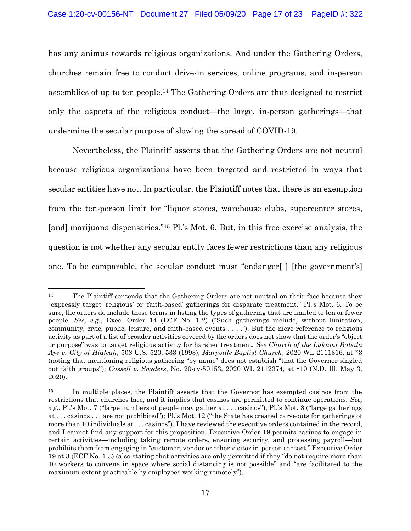has any animus towards religious organizations. And under the Gathering Orders, churches remain free to conduct drive-in services, online programs, and in-person assemblies of up to ten people.<sup>14</sup> The Gathering Orders are thus designed to restrict only the aspects of the religious conduct—the large, in-person gatherings—that undermine the secular purpose of slowing the spread of COVID-19.

Nevertheless, the Plaintiff asserts that the Gathering Orders are not neutral because religious organizations have been targeted and restricted in ways that secular entities have not. In particular, the Plaintiff notes that there is an exemption from the ten-person limit for "liquor stores, warehouse clubs, supercenter stores, [and] marijuana dispensaries." <sup>15</sup> Pl.'s Mot. 6. But, in this free exercise analysis, the question is not whether any secular entity faces fewer restrictions than any religious one. To be comparable, the secular conduct must "endanger[ ] [the government's]

 $\overline{a}$ 

<sup>&</sup>lt;sup>14</sup> The Plaintiff contends that the Gathering Orders are not neutral on their face because they "expressly target 'religious' or 'faith-based' gatherings for disparate treatment." Pl.'s Mot. 6. To be sure, the orders do include those terms in listing the types of gathering that are limited to ten or fewer people. *See, e.g.*, Exec. Order 14 (ECF No. 1-2) ("Such gatherings include, without limitation, community, civic, public, leisure, and faith-based events . . . ."). But the mere reference to religious activity as part of a list of broader activities covered by the orders does not show that the order's "object or purpose" was to target religious activity for harsher treatment. *See Church of the Lukumi Babalu Aye v. City of Hialeah*, 508 U.S. 520, 533 (1993); *Maryville Baptist Church*, 2020 WL 2111316, at \*3 (noting that mentioning religious gathering "by name" does not establish "that the Governor singled out faith groups"); *Cassell v. Snyders*, No. 20-cv-50153, 2020 WL 2112374, at \*10 (N.D. Ill. May 3, 2020).

<sup>&</sup>lt;sup>15</sup> In multiple places, the Plaintiff asserts that the Governor has exempted casinos from the restrictions that churches face, and it implies that casinos are permitted to continue operations. *See, e.g.*, Pl.'s Mot. 7 ("large numbers of people may gather at . . . casinos"); Pl.'s Mot. 8 ("large gatherings at . . . casinos . . . are not prohibited"); Pl.'s Mot. 12 ("the State has created carveouts for gatherings of more than 10 individuals at . . . casinos"). I have reviewed the executive orders contained in the record, and I cannot find any support for this proposition. Executive Order 19 permits casinos to engage in certain activities—including taking remote orders, ensuring security, and processing payroll—but prohibits them from engaging in "customer, vendor or other visitor in-person contact." Executive Order 19 at 3 (ECF No. 1-3) (also stating that activities are only permitted if they "do not require more than 10 workers to convene in space where social distancing is not possible" and "are facilitated to the maximum extent practicable by employees working remotely").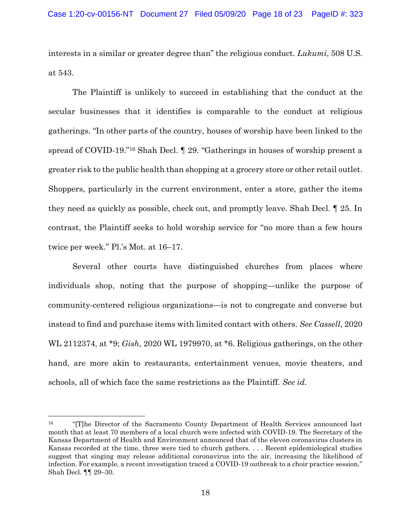interests in a similar or greater degree than" the religious conduct. *Lukumi*, 508 U.S. at 543.

The Plaintiff is unlikely to succeed in establishing that the conduct at the secular businesses that it identifies is comparable to the conduct at religious gatherings. "In other parts of the country, houses of worship have been linked to the spread of COVID-19."<sup>16</sup> Shah Decl. ¶ 29. "Gatherings in houses of worship present a greater risk to the public health than shopping at a grocery store or other retail outlet. Shoppers, particularly in the current environment, enter a store, gather the items they need as quickly as possible, check out, and promptly leave. Shah Decl. ¶ 25. In contrast, the Plaintiff seeks to hold worship service for "no more than a few hours twice per week." Pl.'s Mot. at 16–17.

Several other courts have distinguished churches from places where individuals shop, noting that the purpose of shopping—unlike the purpose of community-centered religious organizations—is not to congregate and converse but instead to find and purchase items with limited contact with others. *See Cassell*, 2020 WL 2112374, at \*9; *Gish*, 2020 WL 1979970, at \*6. Religious gatherings, on the other hand, are more akin to restaurants, entertainment venues, movie theaters, and schools, all of which face the same restrictions as the Plaintiff. *See id.*

<sup>&</sup>lt;sup>16</sup> "[T]he Director of the Sacramento County Department of Health Services announced last month that at least 70 members of a local church were infected with COVID-19. The Secretary of the Kansas Department of Health and Environment announced that of the eleven coronavirus clusters in Kansas recorded at the time, three were tied to church gathers. . . . Recent epidemiological studies suggest that singing may release additional coronavirus into the air, increasing the likelihood of infection. For example, a recent investigation traced a COVID-19 outbreak to a choir practice session." Shah Decl. ¶¶ 29–30.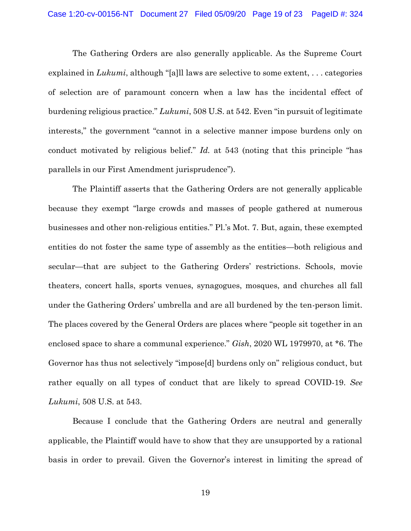The Gathering Orders are also generally applicable. As the Supreme Court explained in *Lukumi*, although "[a]ll laws are selective to some extent, . . . categories of selection are of paramount concern when a law has the incidental effect of burdening religious practice." *Lukumi*, 508 U.S. at 542. Even "in pursuit of legitimate interests," the government "cannot in a selective manner impose burdens only on conduct motivated by religious belief." *Id.* at 543 (noting that this principle "has parallels in our First Amendment jurisprudence").

The Plaintiff asserts that the Gathering Orders are not generally applicable because they exempt "large crowds and masses of people gathered at numerous businesses and other non-religious entities." Pl.'s Mot. 7. But, again, these exempted entities do not foster the same type of assembly as the entities—both religious and secular—that are subject to the Gathering Orders' restrictions. Schools, movie theaters, concert halls, sports venues, synagogues, mosques, and churches all fall under the Gathering Orders' umbrella and are all burdened by the ten-person limit. The places covered by the General Orders are places where "people sit together in an enclosed space to share a communal experience." *Gish*, 2020 WL 1979970, at \*6. The Governor has thus not selectively "impose[d] burdens only on" religious conduct, but rather equally on all types of conduct that are likely to spread COVID-19. *See Lukumi*, 508 U.S. at 543.

Because I conclude that the Gathering Orders are neutral and generally applicable, the Plaintiff would have to show that they are unsupported by a rational basis in order to prevail. Given the Governor's interest in limiting the spread of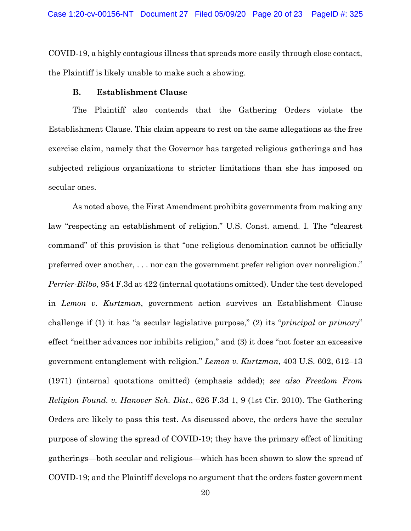COVID-19, a highly contagious illness that spreads more easily through close contact, the Plaintiff is likely unable to make such a showing.

### **B. Establishment Clause**

The Plaintiff also contends that the Gathering Orders violate the Establishment Clause. This claim appears to rest on the same allegations as the free exercise claim, namely that the Governor has targeted religious gatherings and has subjected religious organizations to stricter limitations than she has imposed on secular ones.

As noted above, the First Amendment prohibits governments from making any law "respecting an establishment of religion." U.S. Const. amend. I. The "clearest command" of this provision is that "one religious denomination cannot be officially preferred over another, . . . nor can the government prefer religion over nonreligion." *Perrier-Bilbo*, 954 F.3d at 422 (internal quotations omitted). Under the test developed in *Lemon v. Kurtzman*, government action survives an Establishment Clause challenge if (1) it has "a secular legislative purpose," (2) its "*principal* or *primary*" effect "neither advances nor inhibits religion," and (3) it does "not foster an excessive government entanglement with religion." *Lemon v. Kurtzman*, 403 U.S. 602, 612–13 (1971) (internal quotations omitted) (emphasis added); *see also Freedom From Religion Found. v. Hanover Sch. Dist.*, 626 F.3d 1, 9 (1st Cir. 2010). The Gathering Orders are likely to pass this test. As discussed above, the orders have the secular purpose of slowing the spread of COVID-19; they have the primary effect of limiting gatherings—both secular and religious—which has been shown to slow the spread of COVID-19; and the Plaintiff develops no argument that the orders foster government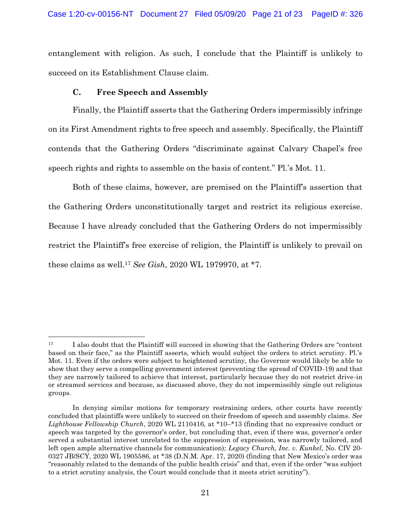entanglement with religion. As such, I conclude that the Plaintiff is unlikely to succeed on its Establishment Clause claim.

# **C. Free Speech and Assembly**

l

Finally, the Plaintiff asserts that the Gathering Orders impermissibly infringe on its First Amendment rights to free speech and assembly. Specifically, the Plaintiff contends that the Gathering Orders "discriminate against Calvary Chapel's free speech rights and rights to assemble on the basis of content." Pl.'s Mot. 11.

Both of these claims, however, are premised on the Plaintiff's assertion that the Gathering Orders unconstitutionally target and restrict its religious exercise. Because I have already concluded that the Gathering Orders do not impermissibly restrict the Plaintiff's free exercise of religion, the Plaintiff is unlikely to prevail on these claims as well.<sup>17</sup> *See Gish*, 2020 WL 1979970, at \*7.

<sup>&</sup>lt;sup>17</sup> I also doubt that the Plaintiff will succeed in showing that the Gathering Orders are "content" based on their face," as the Plaintiff asserts, which would subject the orders to strict scrutiny. Pl.'s Mot. 11. Even if the orders were subject to heightened scrutiny, the Governor would likely be able to show that they serve a compelling government interest (preventing the spread of COVID-19) and that they are narrowly tailored to achieve that interest, particularly because they do not restrict drive-in or streamed services and because, as discussed above, they do not impermissibly single out religious groups.

In denying similar motions for temporary restraining orders, other courts have recently concluded that plaintiffs were unlikely to succeed on their freedom of speech and assembly claims. *See Lighthouse Fellowship Church*, 2020 WL 2110416, at \*10–\*13 (finding that no expressive conduct or speech was targeted by the governor's order, but concluding that, even if there was, governor's order served a substantial interest unrelated to the suppression of expression, was narrowly tailored, and left open ample alternative channels for communication); *Legacy Church, Inc. v. Kunkel*, No. CIV 20- 0327 JB/SCY, 2020 WL 1905586, at \*38 (D.N.M. Apr. 17, 2020) (finding that New Mexico's order was "reasonably related to the demands of the public health crisis" and that, even if the order "was subject to a strict scrutiny analysis, the Court would conclude that it meets strict scrutiny").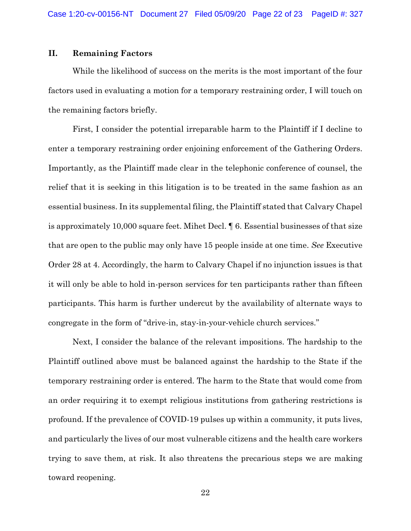### **II. Remaining Factors**

While the likelihood of success on the merits is the most important of the four factors used in evaluating a motion for a temporary restraining order, I will touch on the remaining factors briefly.

First, I consider the potential irreparable harm to the Plaintiff if I decline to enter a temporary restraining order enjoining enforcement of the Gathering Orders. Importantly, as the Plaintiff made clear in the telephonic conference of counsel, the relief that it is seeking in this litigation is to be treated in the same fashion as an essential business. In its supplemental filing, the Plaintiff stated that Calvary Chapel is approximately 10,000 square feet. Mihet Decl. ¶ 6. Essential businesses of that size that are open to the public may only have 15 people inside at one time. *See* Executive Order 28 at 4. Accordingly, the harm to Calvary Chapel if no injunction issues is that it will only be able to hold in-person services for ten participants rather than fifteen participants. This harm is further undercut by the availability of alternate ways to congregate in the form of "drive-in, stay-in-your-vehicle church services."

Next, I consider the balance of the relevant impositions. The hardship to the Plaintiff outlined above must be balanced against the hardship to the State if the temporary restraining order is entered. The harm to the State that would come from an order requiring it to exempt religious institutions from gathering restrictions is profound. If the prevalence of COVID-19 pulses up within a community, it puts lives, and particularly the lives of our most vulnerable citizens and the health care workers trying to save them, at risk. It also threatens the precarious steps we are making toward reopening.